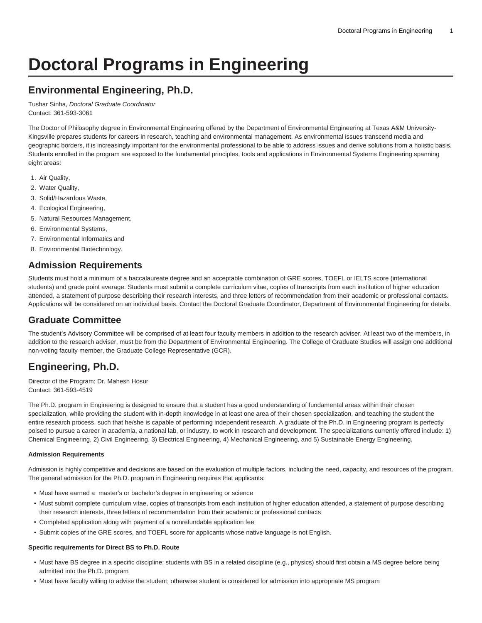# **Doctoral Programs in Engineering**

# **Environmental Engineering, Ph.D.**

Tushar Sinha, Doctoral Graduate Coordinator Contact: 361-593-3061

The Doctor of Philosophy degree in Environmental Engineering offered by the Department of Environmental Engineering at Texas A&M University-Kingsville prepares students for careers in research, teaching and environmental management. As environmental issues transcend media and geographic borders, it is increasingly important for the environmental professional to be able to address issues and derive solutions from a holistic basis. Students enrolled in the program are exposed to the fundamental principles, tools and applications in Environmental Systems Engineering spanning eight areas:

- 1. Air Quality,
- 2. Water Quality,
- 3. Solid/Hazardous Waste,
- 4. Ecological Engineering,
- 5. Natural Resources Management,
- 6. Environmental Systems,
- 7. Environmental Informatics and
- 8. Environmental Biotechnology.

# **Admission Requirements**

Students must hold a minimum of a baccalaureate degree and an acceptable combination of GRE scores, TOEFL or IELTS score (international students) and grade point average. Students must submit a complete curriculum vitae, copies of transcripts from each institution of higher education attended, a statement of purpose describing their research interests, and three letters of recommendation from their academic or professional contacts. Applications will be considered on an individual basis. Contact the Doctoral Graduate Coordinator, Department of Environmental Engineering for details.

# **Graduate Committee**

The student's Advisory Committee will be comprised of at least four faculty members in addition to the research adviser. At least two of the members, in addition to the research adviser, must be from the Department of Environmental Engineering. The College of Graduate Studies will assign one additional non-voting faculty member, the Graduate College Representative (GCR).

# **Engineering, Ph.D.**

Director of the Program: Dr. Mahesh Hosur Contact: 361-593-4519

The Ph.D. program in Engineering is designed to ensure that a student has a good understanding of fundamental areas within their chosen specialization, while providing the student with in-depth knowledge in at least one area of their chosen specialization, and teaching the student the entire research process, such that he/she is capable of performing independent research. A graduate of the Ph.D. in Engineering program is perfectly poised to pursue a career in academia, a national lab, or industry, to work in research and development. The specializations currently offered include: 1) Chemical Engineering, 2) Civil Engineering, 3) Electrical Engineering, 4) Mechanical Engineering, and 5) Sustainable Energy Engineering.

#### **Admission Requirements**

Admission is highly competitive and decisions are based on the evaluation of multiple factors, including the need, capacity, and resources of the program. The general admission for the Ph.D. program in Engineering requires that applicants:

- Must have earned a master's or bachelor's degree in engineering or science
- Must submit complete curriculum vitae, copies of transcripts from each institution of higher education attended, a statement of purpose describing their research interests, three letters of recommendation from their academic or professional contacts
- Completed application along with payment of a nonrefundable application fee
- Submit copies of the GRE scores, and TOEFL score for applicants whose native language is not English.

#### **Specific requirements for Direct BS to Ph.D. Route**

- Must have BS degree in a specific discipline; students with BS in a related discipline (e.g., physics) should first obtain a MS degree before being admitted into the Ph.D. program
- Must have faculty willing to advise the student; otherwise student is considered for admission into appropriate MS program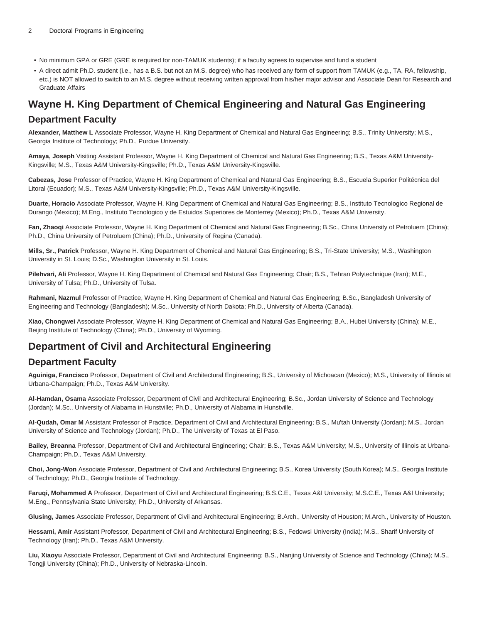- No minimum GPA or GRE (GRE is required for non-TAMUK students); if a faculty agrees to supervise and fund a student
- A direct admit Ph.D. student (i.e., has a B.S. but not an M.S. degree) who has received any form of support from TAMUK (e.g., TA, RA, fellowship, etc.) is NOT allowed to switch to an M.S. degree without receiving written approval from his/her major advisor and Associate Dean for Research and Graduate Affairs

# **Wayne H. King Department of Chemical Engineering and Natural Gas Engineering**

# **Department Faculty**

**Alexander, Matthew L** Associate Professor, Wayne H. King Department of Chemical and Natural Gas Engineering; B.S., Trinity University; M.S., Georgia Institute of Technology; Ph.D., Purdue University.

**Amaya, Joseph** Visiting Assistant Professor, Wayne H. King Department of Chemical and Natural Gas Engineering; B.S., Texas A&M University-Kingsville; M.S., Texas A&M University-Kingsville; Ph.D., Texas A&M University-Kingsville.

**Cabezas, Jose** Professor of Practice, Wayne H. King Department of Chemical and Natural Gas Engineering; B.S., Escuela Superior Politécnica del Litoral (Ecuador); M.S., Texas A&M University-Kingsville; Ph.D., Texas A&M University-Kingsville.

**Duarte, Horacio** Associate Professor, Wayne H. King Department of Chemical and Natural Gas Engineering; B.S., Instituto Tecnologico Regional de Durango (Mexico); M.Eng., Instituto Tecnologico y de Estuidos Superiores de Monterrey (Mexico); Ph.D., Texas A&M University.

**Fan, Zhaoqi** Associate Professor, Wayne H. King Department of Chemical and Natural Gas Engineering; B.Sc., China University of Petroluem (China); Ph.D., China University of Petroluem (China); Ph.D., University of Regina (Canada).

**Mills, Sr., Patrick** Professor, Wayne H. King Department of Chemical and Natural Gas Engineering; B.S., Tri-State University; M.S., Washington University in St. Louis; D.Sc., Washington University in St. Louis.

**Pilehvari, Ali** Professor, Wayne H. King Department of Chemical and Natural Gas Engineering; Chair; B.S., Tehran Polytechnique (Iran); M.E., University of Tulsa; Ph.D., University of Tulsa.

**Rahmani, Nazmul** Professor of Practice, Wayne H. King Department of Chemical and Natural Gas Engineering; B.Sc., Bangladesh University of Engineering and Technology (Bangladesh); M.Sc., University of North Dakota; Ph.D., University of Alberta (Canada).

**Xiao, Chongwei** Associate Professor, Wayne H. King Department of Chemical and Natural Gas Engineering; B.A., Hubei University (China); M.E., Beijing Institute of Technology (China); Ph.D., University of Wyoming.

# **Department of Civil and Architectural Engineering**

# **Department Faculty**

**Aguiniga, Francisco** Professor, Department of Civil and Architectural Engineering; B.S., University of Michoacan (Mexico); M.S., University of Illinois at Urbana-Champaign; Ph.D., Texas A&M University.

**Al-Hamdan, Osama** Associate Professor, Department of Civil and Architectural Engineering; B.Sc., Jordan University of Science and Technology (Jordan); M.Sc., University of Alabama in Hunstville; Ph.D., University of Alabama in Hunstville.

**Al-Qudah, Omar M** Assistant Professor of Practice, Department of Civil and Architectural Engineering; B.S., Mu'tah University (Jordan); M.S., Jordan University of Science and Technology (Jordan); Ph.D., The University of Texas at El Paso.

**Bailey, Breanna** Professor, Department of Civil and Architectural Engineering; Chair; B.S., Texas A&M University; M.S., University of Illinois at Urbana-Champaign; Ph.D., Texas A&M University.

**Choi, Jong-Won** Associate Professor, Department of Civil and Architectural Engineering; B.S., Korea University (South Korea); M.S., Georgia Institute of Technology; Ph.D., Georgia Institute of Technology.

**Faruqi, Mohammed A** Professor, Department of Civil and Architectural Engineering; B.S.C.E., Texas A&I University; M.S.C.E., Texas A&I University; M.Eng., Pennsylvania State University; Ph.D., University of Arkansas.

**Glusing, James** Associate Professor, Department of Civil and Architectural Engineering; B.Arch., University of Houston; M.Arch., University of Houston.

**Hessami, Amir** Assistant Professor, Department of Civil and Architectural Engineering; B.S., Fedowsi University (India); M.S., Sharif University of Technology (Iran); Ph.D., Texas A&M University.

**Liu, Xiaoyu** Associate Professor, Department of Civil and Architectural Engineering; B.S., Nanjing University of Science and Technology (China); M.S., Tongji University (China); Ph.D., University of Nebraska-Lincoln.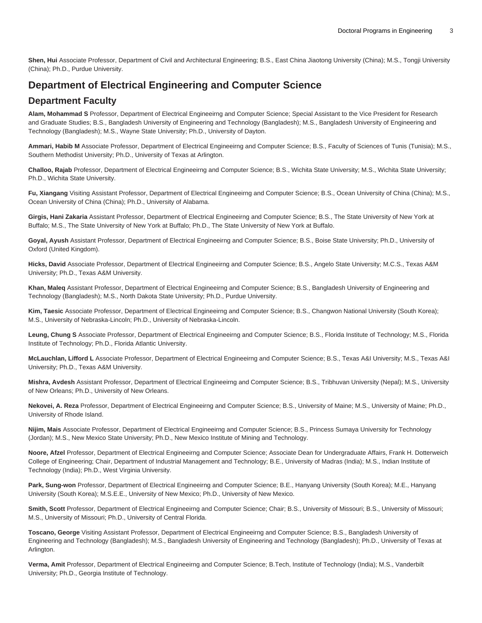**Shen, Hui** Associate Professor, Department of Civil and Architectural Engineering; B.S., East China Jiaotong University (China); M.S., Tongji University (China); Ph.D., Purdue University.

# **Department of Electrical Engineering and Computer Science**

# **Department Faculty**

**Alam, Mohammad S** Professor, Department of Electrical Engineeirng and Computer Science; Special Assistant to the Vice President for Research and Graduate Studies; B.S., Bangladesh University of Engineering and Technology (Bangladesh); M.S., Bangladesh University of Engineering and Technology (Bangladesh); M.S., Wayne State University; Ph.D., University of Dayton.

**Ammari, Habib M** Associate Professor, Department of Electrical Engineeirng and Computer Science; B.S., Faculty of Sciences of Tunis (Tunisia); M.S., Southern Methodist University; Ph.D., University of Texas at Arlington.

**Challoo, Rajab** Professor, Department of Electrical Engineeirng and Computer Science; B.S., Wichita State University; M.S., Wichita State University; Ph.D., Wichita State University.

Fu, Xiangang Visiting Assistant Professor, Department of Electrical Engineeirng and Computer Science; B.S., Ocean University of China (China); M.S., Ocean University of China (China); Ph.D., University of Alabama.

**Girgis, Hani Zakaria** Assistant Professor, Department of Electrical Engineeirng and Computer Science; B.S., The State University of New York at Buffalo; M.S., The State University of New York at Buffalo; Ph.D., The State University of New York at Buffalo.

**Goyal, Ayush** Assistant Professor, Department of Electrical Engineeirng and Computer Science; B.S., Boise State University; Ph.D., University of Oxford (United Kingdom).

**Hicks, David** Associate Professor, Department of Electrical Engineeirng and Computer Science; B.S., Angelo State University; M.C.S., Texas A&M University; Ph.D., Texas A&M University.

**Khan, Maleq** Assistant Professor, Department of Electrical Engineeirng and Computer Science; B.S., Bangladesh University of Engineering and Technology (Bangladesh); M.S., North Dakota State University; Ph.D., Purdue University.

**Kim, Taesic** Associate Professor, Department of Electrical Engineeirng and Computer Science; B.S., Changwon National University (South Korea); M.S., University of Nebraska-Lincoln; Ph.D., University of Nebraska-Lincoln.

**Leung, Chung S** Associate Professor, Department of Electrical Engineeirng and Computer Science; B.S., Florida Institute of Technology; M.S., Florida Institute of Technology; Ph.D., Florida Atlantic University.

**McLauchlan, Lifford L** Associate Professor, Department of Electrical Engineeirng and Computer Science; B.S., Texas A&I University; M.S., Texas A&I University; Ph.D., Texas A&M University.

**Mishra, Avdesh** Assistant Professor, Department of Electrical Engineeirng and Computer Science; B.S., Tribhuvan University (Nepal); M.S., University of New Orleans; Ph.D., University of New Orleans.

**Nekovei, A. Reza** Professor, Department of Electrical Engineeirng and Computer Science; B.S., University of Maine; M.S., University of Maine; Ph.D., University of Rhode Island.

**Nijim, Mais** Associate Professor, Department of Electrical Engineeirng and Computer Science; B.S., Princess Sumaya University for Technology (Jordan); M.S., New Mexico State University; Ph.D., New Mexico Institute of Mining and Technology.

**Noore, Afzel** Professor, Department of Electrical Engineeirng and Computer Science; Associate Dean for Undergraduate Affairs, Frank H. Dotterweich College of Engineering; Chair, Department of Industrial Management and Technology; B.E., University of Madras (India); M.S., Indian Institute of Technology (India); Ph.D., West Virginia University.

**Park, Sung-won** Professor, Department of Electrical Engineeirng and Computer Science; B.E., Hanyang University (South Korea); M.E., Hanyang University (South Korea); M.S.E.E., University of New Mexico; Ph.D., University of New Mexico.

**Smith, Scott** Professor, Department of Electrical Engineeirng and Computer Science; Chair; B.S., University of Missouri; B.S., University of Missouri; M.S., University of Missouri; Ph.D., University of Central Florida.

**Toscano, George** Visiting Assistant Professor, Department of Electrical Engineeirng and Computer Science; B.S., Bangladesh University of Engineering and Technology (Bangladesh); M.S., Bangladesh University of Engineering and Technology (Bangladesh); Ph.D., University of Texas at Arlington.

**Verma, Amit** Professor, Department of Electrical Engineeirng and Computer Science; B.Tech, Institute of Technology (India); M.S., Vanderbilt University; Ph.D., Georgia Institute of Technology.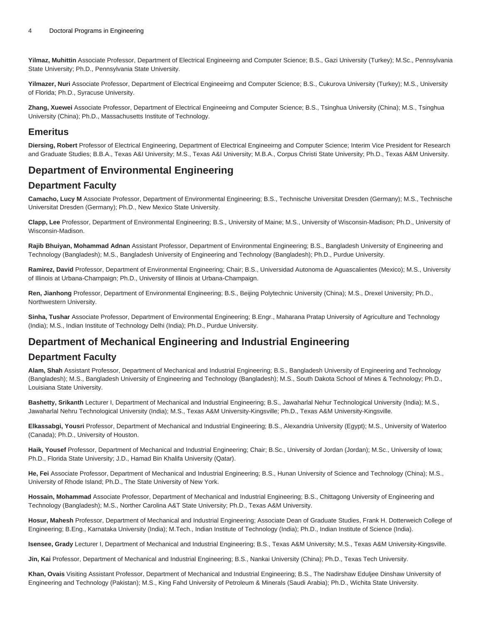**Yilmaz, Muhittin** Associate Professor, Department of Electrical Engineeirng and Computer Science; B.S., Gazi University (Turkey); M.Sc., Pennsylvania State University; Ph.D., Pennsylvania State University.

**Yilmazer, Nuri** Associate Professor, Department of Electrical Engineeirng and Computer Science; B.S., Cukurova University (Turkey); M.S., University of Florida; Ph.D., Syracuse University.

**Zhang, Xuewei** Associate Professor, Department of Electrical Engineeirng and Computer Science; B.S., Tsinghua University (China); M.S., Tsinghua University (China); Ph.D., Massachusetts Institute of Technology.

### **Emeritus**

**Diersing, Robert** Professor of Electrical Engineering, Department of Electrical Engineeirng and Computer Science; Interim Vice President for Research and Graduate Studies; B.B.A., Texas A&I University; M.S., Texas A&I University; M.B.A., Corpus Christi State University; Ph.D., Texas A&M University.

# **Department of Environmental Engineering**

# **Department Faculty**

**Camacho, Lucy M** Associate Professor, Department of Environmental Engineering; B.S., Technische Universitat Dresden (Germany); M.S., Technische Universitat Dresden (Germany); Ph.D., New Mexico State University.

**Clapp, Lee** Professor, Department of Environmental Engineering; B.S., University of Maine; M.S., University of Wisconsin-Madison; Ph.D., University of Wisconsin-Madison.

**Rajib Bhuiyan, Mohammad Adnan** Assistant Professor, Department of Environmental Engineering; B.S., Bangladesh University of Engineering and Technology (Bangladesh); M.S., Bangladesh University of Engineering and Technology (Bangladesh); Ph.D., Purdue University.

**Ramirez, David** Professor, Department of Environmental Engineering; Chair; B.S., Universidad Autonoma de Aguascalientes (Mexico); M.S., University of Illinois at Urbana-Champaign; Ph.D., University of Illinois at Urbana-Champaign.

**Ren, Jianhong** Professor, Department of Environmental Engineering; B.S., Beijing Polytechnic University (China); M.S., Drexel University; Ph.D., Northwestern University.

**Sinha, Tushar** Associate Professor, Department of Environmental Engineering; B.Engr., Maharana Pratap University of Agriculture and Technology (India); M.S., Indian Institute of Technology Delhi (India); Ph.D., Purdue University.

# **Department of Mechanical Engineering and Industrial Engineering**

# **Department Faculty**

**Alam, Shah** Assistant Professor, Department of Mechanical and Industrial Engineering; B.S., Bangladesh University of Engineering and Technology (Bangladesh); M.S., Bangladesh University of Engineering and Technology (Bangladesh); M.S., South Dakota School of Mines & Technology; Ph.D., Louisiana State University.

**Bashetty, Srikanth** Lecturer I, Department of Mechanical and Industrial Engineering; B.S., Jawaharlal Nehur Technological University (India); M.S., Jawaharlal Nehru Technological University (India); M.S., Texas A&M University-Kingsville; Ph.D., Texas A&M University-Kingsville.

**Elkassabgi, Yousri** Professor, Department of Mechanical and Industrial Engineering; B.S., Alexandria University (Egypt); M.S., University of Waterloo (Canada); Ph.D., University of Houston.

**Haik, Yousef** Professor, Department of Mechanical and Industrial Engineering; Chair; B.Sc., University of Jordan (Jordan); M.Sc., University of Iowa; Ph.D., Florida State University; J.D., Hamad Bin Khalifa University (Qatar).

**He, Fei** Associate Professor, Department of Mechanical and Industrial Engineering; B.S., Hunan University of Science and Technology (China); M.S., University of Rhode Island; Ph.D., The State University of New York.

**Hossain, Mohammad** Associate Professor, Department of Mechanical and Industrial Engineering; B.S., Chittagong University of Engineering and Technology (Bangladesh); M.S., Norther Carolina A&T State University; Ph.D., Texas A&M University.

**Hosur, Mahesh** Professor, Department of Mechanical and Industrial Engineering; Associate Dean of Graduate Studies, Frank H. Dotterweich College of Engineering; B.Eng., Karnataka University (India); M.Tech., Indian Institute of Technology (India); Ph.D., Indian Institute of Science (India).

**Isensee, Grady** Lecturer I, Department of Mechanical and Industrial Engineering; B.S., Texas A&M University; M.S., Texas A&M University-Kingsville.

**Jin, Kai** Professor, Department of Mechanical and Industrial Engineering; B.S., Nankai University (China); Ph.D., Texas Tech University.

**Khan, Ovais** Visiting Assistant Professor, Department of Mechanical and Industrial Engineering; B.S., The Nadirshaw Eduljee Dinshaw University of Engineering and Technology (Pakistan); M.S., King Fahd University of Petroleum & Minerals (Saudi Arabia); Ph.D., Wichita State University.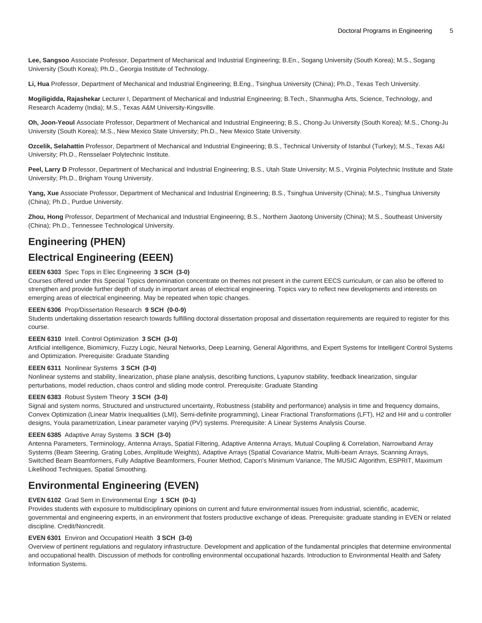**Lee, Sangsoo** Associate Professor, Department of Mechanical and Industrial Engineering; B.En., Sogang University (South Korea); M.S., Sogang University (South Korea); Ph.D., Georgia Institute of Technology.

**Li, Hua** Professor, Department of Mechanical and Industrial Engineering; B.Eng., Tsinghua University (China); Ph.D., Texas Tech University.

**Mogiligidda, Rajashekar** Lecturer I, Department of Mechanical and Industrial Engineering; B.Tech., Shanmugha Arts, Science, Technology, and Research Academy (India); M.S., Texas A&M University-Kingsville.

**Oh, Joon-Yeoul** Associate Professor, Department of Mechanical and Industrial Engineering; B.S., Chong-Ju University (South Korea); M.S., Chong-Ju University (South Korea); M.S., New Mexico State University; Ph.D., New Mexico State University.

**Ozcelik, Selahattin** Professor, Department of Mechanical and Industrial Engineering; B.S., Technical University of Istanbul (Turkey); M.S., Texas A&I University; Ph.D., Rensselaer Polytechnic Institute.

Peel, Larry D Professor, Department of Mechanical and Industrial Engineering; B.S., Utah State University; M.S., Virginia Polytechnic Institute and State University; Ph.D., Brigham Young University.

**Yang, Xue** Associate Professor, Department of Mechanical and Industrial Engineering; B.S., Tsinghua University (China); M.S., Tsinghua University (China); Ph.D., Purdue University.

**Zhou, Hong** Professor, Department of Mechanical and Industrial Engineering; B.S., Northern Jiaotong University (China); M.S., Southeast University (China); Ph.D., Tennessee Technological University.

# **Engineering (PHEN)**

# **Electrical Engineering (EEEN)**

#### **EEEN 6303** Spec Tops in Elec Engineering **3 SCH (3-0)**

Courses offered under this Special Topics denomination concentrate on themes not present in the current EECS curriculum, or can also be offered to strengthen and provide further depth of study in important areas of electrical engineering. Topics vary to reflect new developments and interests on emerging areas of electrical engineering. May be repeated when topic changes.

#### **EEEN 6306** Prop/Dissertation Research **9 SCH (0-0-9)**

Students undertaking dissertation research towards fulfilling doctoral dissertation proposal and dissertation requirements are required to register for this course.

#### **EEEN 6310** Intell. Control Optimization **3 SCH (3-0)**

Artificial intelligence, Biomimicry, Fuzzy Logic, Neural Networks, Deep Learning, General Algorithms, and Expert Systems for Intelligent Control Systems and Optimization. Prerequisite: Graduate Standing

#### **EEEN 6311** Nonlinear Systems **3 SCH (3-0)**

Nonlinear systems and stability, linearization, phase plane analysis, describing functions, Lyapunov stability, feedback linearization, singular perturbations, model reduction, chaos control and sliding mode control. Prerequisite: Graduate Standing

#### **EEEN 6383** Robust System Theory **3 SCH (3-0)**

Signal and system norms, Structured and unstructured uncertainty, Robustness (stability and performance) analysis in time and frequency domains, Convex Optimization (Linear Matrix Inequalities (LMI), Semi-definite programming), Linear Fractional Transformations (LFT), H2 and H# and u controller designs, Youla parametrization, Linear parameter varying (PV) systems. Prerequisite: A Linear Systems Analysis Course.

#### **EEEN 6385** Adaptive Array Systems **3 SCH (3-0)**

Antenna Parameters, Terminology, Antenna Arrays, Spatial Filtering, Adaptive Antenna Arrays, Mutual Coupling & Correlation, Narrowband Array Systems (Beam Steering, Grating Lobes, Amplitude Weights), Adaptive Arrays (Spatial Covariance Matrix, Multi-beam Arrays, Scanning Arrays, Switched Beam Beamformers, Fully Adaptive Beamformers, Fourier Method, Capon's Minimum Variance, The MUSIC Algorithm, ESPRIT, Maximum Likelihood Techniques, Spatial Smoothing.

# **Environmental Engineering (EVEN)**

#### **EVEN 6102** Grad Sem in Environmental Engr **1 SCH (0-1)**

Provides students with exposure to multidisciplinary opinions on current and future environmental issues from industrial, scientific, academic, governmental and engineering experts, in an environment that fosters productive exchange of ideas. Prerequisite: graduate standing in EVEN or related discipline. Credit/Noncredit.

#### **EVEN 6301** Environ and Occupationl Health **3 SCH (3-0)**

Overview of pertinent regulations and regulatory infrastructure. Development and application of the fundamental principles that determine environmental and occupational health. Discussion of methods for controlling environmental occupational hazards. Introduction to Environmental Health and Safety Information Systems.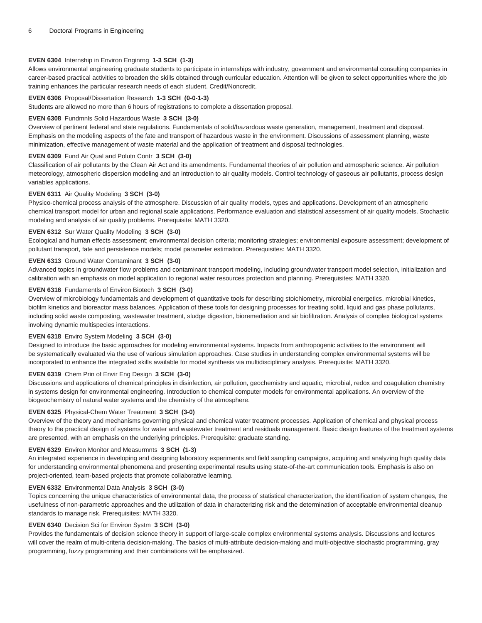#### **EVEN 6304** Internship in Environ Enginrng **1-3 SCH (1-3)**

Allows environmental engineering graduate students to participate in internships with industry, government and environmental consulting companies in career-based practical activities to broaden the skills obtained through curricular education. Attention will be given to select opportunities where the job training enhances the particular research needs of each student. Credit/Noncredit.

#### **EVEN 6306** Proposal/Dissertation Research **1-3 SCH (0-0-1-3)**

Students are allowed no more than 6 hours of registrations to complete a dissertation proposal.

#### **EVEN 6308** Fundmnls Solid Hazardous Waste **3 SCH (3-0)**

Overview of pertinent federal and state regulations. Fundamentals of solid/hazardous waste generation, management, treatment and disposal. Emphasis on the modeling aspects of the fate and transport of hazardous waste in the environment. Discussions of assessment planning, waste minimization, effective management of waste material and the application of treatment and disposal technologies.

#### **EVEN 6309** Fund Air Qual and Polutn Contr **3 SCH (3-0)**

Classification of air pollutants by the Clean Air Act and its amendments. Fundamental theories of air pollution and atmospheric science. Air pollution meteorology, atmospheric dispersion modeling and an introduction to air quality models. Control technology of gaseous air pollutants, process design variables applications.

#### **EVEN 6311** Air Quality Modeling **3 SCH (3-0)**

Physico-chemical process analysis of the atmosphere. Discussion of air quality models, types and applications. Development of an atmospheric chemical transport model for urban and regional scale applications. Performance evaluation and statistical assessment of air quality models. Stochastic modeling and analysis of air quality problems. Prerequisite: MATH 3320.

#### **EVEN 6312** Sur Water Quality Modeling **3 SCH (3-0)**

Ecological and human effects assessment; environmental decision criteria; monitoring strategies; environmental exposure assessment; development of pollutant transport, fate and persistence models; model parameter estimation. Prerequisites: MATH 3320.

#### **EVEN 6313** Ground Water Contaminant **3 SCH (3-0)**

Advanced topics in groundwater flow problems and contaminant transport modeling, including groundwater transport model selection, initialization and calibration with an emphasis on model application to regional water resources protection and planning. Prerequisites: MATH 3320.

#### **EVEN 6316** Fundamentls of Environ Biotech **3 SCH (3-0)**

Overview of microbiology fundamentals and development of quantitative tools for describing stoichiometry, microbial energetics, microbial kinetics, biofilm kinetics and bioreactor mass balances. Application of these tools for designing processes for treating solid, liquid and gas phase pollutants, including solid waste composting, wastewater treatment, sludge digestion, bioremediation and air biofiltration. Analysis of complex biological systems involving dynamic multispecies interactions.

#### **EVEN 6318** Enviro System Modeling **3 SCH (3-0)**

Designed to introduce the basic approaches for modeling environmental systems. Impacts from anthropogenic activities to the environment will be systematically evaluated via the use of various simulation approaches. Case studies in understanding complex environmental systems will be incorporated to enhance the integrated skills available for model synthesis via multidisciplinary analysis. Prerequisite: MATH 3320.

#### **EVEN 6319** Chem Prin of Envir Eng Design **3 SCH (3-0)**

Discussions and applications of chemical principles in disinfection, air pollution, geochemistry and aquatic, microbial, redox and coagulation chemistry in systems design for environmental engineering. Introduction to chemical computer models for environmental applications. An overview of the biogeochemistry of natural water systems and the chemistry of the atmosphere.

#### **EVEN 6325** Physical-Chem Water Treatment **3 SCH (3-0)**

Overview of the theory and mechanisms governing physical and chemical water treatment processes. Application of chemical and physical process theory to the practical design of systems for water and wastewater treatment and residuals management. Basic design features of the treatment systems are presented, with an emphasis on the underlying principles. Prerequisite: graduate standing.

#### **EVEN 6329** Environ Monitor and Measurmnts **3 SCH (1-3)**

An integrated experience in developing and designing laboratory experiments and field sampling campaigns, acquiring and analyzing high quality data for understanding environmental phenomena and presenting experimental results using state-of-the-art communication tools. Emphasis is also on project-oriented, team-based projects that promote collaborative learning.

#### **EVEN 6332** Environmental Data Analysis **3 SCH (3-0)**

Topics concerning the unique characteristics of environmental data, the process of statistical characterization, the identification of system changes, the usefulness of non-parametric approaches and the utilization of data in characterizing risk and the determination of acceptable environmental cleanup standards to manage risk. Prerequisites: MATH 3320.

#### **EVEN 6340** Decision Sci for Environ Systm **3 SCH (3-0)**

Provides the fundamentals of decision science theory in support of large-scale complex environmental systems analysis. Discussions and lectures will cover the realm of multi-criteria decision-making. The basics of multi-attribute decision-making and multi-objective stochastic programming, gray programming, fuzzy programming and their combinations will be emphasized.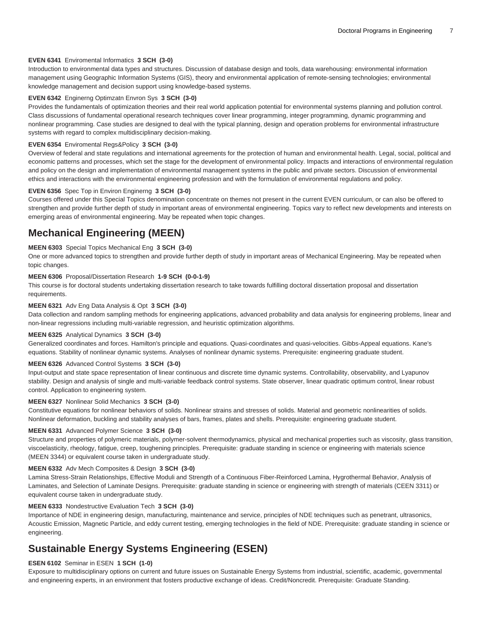#### **EVEN 6341** Enviromental Informatics **3 SCH (3-0)**

Introduction to environmental data types and structures. Discussion of database design and tools, data warehousing: environmental information management using Geographic Information Systems (GIS), theory and environmental application of remote-sensing technologies; environmental knowledge management and decision support using knowledge-based systems.

#### **EVEN 6342** Enginerng Optimzatn Envron Sys **3 SCH (3-0)**

Provides the fundamentals of optimization theories and their real world application potential for environmental systems planning and pollution control. Class discussions of fundamental operational research techniques cover linear programming, integer programming, dynamic programming and nonlinear programming. Case studies are designed to deal with the typical planning, design and operation problems for environmental infrastructure systems with regard to complex multidisciplinary decision-making.

#### **EVEN 6354** Enviromental Regs&Policy **3 SCH (3-0)**

Overview of federal and state regulations and international agreements for the protection of human and environmental health. Legal, social, political and economic patterns and processes, which set the stage for the development of environmental policy. Impacts and interactions of environmental regulation and policy on the design and implementation of environmental management systems in the public and private sectors. Discussion of environmental ethics and interactions with the environmental engineering profession and with the formulation of environmental regulations and policy.

#### **EVEN 6356** Spec Top in Environ Enginerng **3 SCH (3-0)**

Courses offered under this Special Topics denomination concentrate on themes not present in the current EVEN curriculum, or can also be offered to strengthen and provide further depth of study in important areas of environmental engineering. Topics vary to reflect new developments and interests on emerging areas of environmental engineering. May be repeated when topic changes.

# **Mechanical Engineering (MEEN)**

#### **MEEN 6303** Special Topics Mechanical Eng **3 SCH (3-0)**

One or more advanced topics to strengthen and provide further depth of study in important areas of Mechanical Engineering. May be repeated when topic changes.

#### **MEEN 6306** Proposal/Dissertation Research **1-9 SCH (0-0-1-9)**

This course is for doctoral students undertaking dissertation research to take towards fulfilling doctoral dissertation proposal and dissertation requirements.

#### **MEEN 6321** Adv Eng Data Analysis & Opt **3 SCH (3-0)**

Data collection and random sampling methods for engineering applications, advanced probability and data analysis for engineering problems, linear and non-linear regressions including multi-variable regression, and heuristic optimization algorithms.

#### **MEEN 6325** Analytical Dynamics **3 SCH (3-0)**

Generalized coordinates and forces. Hamilton's principle and equations. Quasi-coordinates and quasi-velocities. Gibbs-Appeal equations. Kane's equations. Stability of nonlinear dynamic systems. Analyses of nonlinear dynamic systems. Prerequisite: engineering graduate student.

#### **MEEN 6326** Advanced Control Systems **3 SCH (3-0)**

Input-output and state space representation of linear continuous and discrete time dynamic systems. Controllability, observability, and Lyapunov stability. Design and analysis of single and multi-variable feedback control systems. State observer, linear quadratic optimum control, linear robust control. Application to engineering system.

#### **MEEN 6327** Nonlinear Solid Mechanics **3 SCH (3-0)**

Constitutive equations for nonlinear behaviors of solids. Nonlinear strains and stresses of solids. Material and geometric nonlinearities of solids. Nonlinear deformation, buckling and stability analyses of bars, frames, plates and shells. Prerequisite: engineering graduate student.

#### **MEEN 6331** Advanced Polymer Science **3 SCH (3-0)**

Structure and properties of polymeric materials, polymer-solvent thermodynamics, physical and mechanical properties such as viscosity, glass transition, viscoelasticity, rheology, fatigue, creep, toughening principles. Prerequisite: graduate standing in science or engineering with materials science (MEEN 3344) or equivalent course taken in undergraduate study.

#### **MEEN 6332** Adv Mech Composites & Design **3 SCH (3-0)**

Lamina Stress-Strain Relationships, Effective Moduli and Strength of a Continuous Fiber-Reinforced Lamina, Hygrothermal Behavior, Analysis of Laminates, and Selection of Laminate Designs. Prerequisite: graduate standing in science or engineering with strength of materials (CEEN 3311) or equivalent course taken in undergraduate study.

#### **MEEN 6333** Nondestructive Evaluation Tech **3 SCH (3-0)**

Importance of NDE in engineering design, manufacturing, maintenance and service, principles of NDE techniques such as penetrant, ultrasonics, Acoustic Emission, Magnetic Particle, and eddy current testing, emerging technologies in the field of NDE. Prerequisite: graduate standing in science or engineering.

# **Sustainable Energy Systems Engineering (ESEN)**

#### **ESEN 6102** Seminar in ESEN **1 SCH (1-0)**

Exposure to multidisciplinary options on current and future issues on Sustainable Energy Systems from industrial, scientific, academic, governmental and engineering experts, in an environment that fosters productive exchange of ideas. Credit/Noncredit. Prerequisite: Graduate Standing.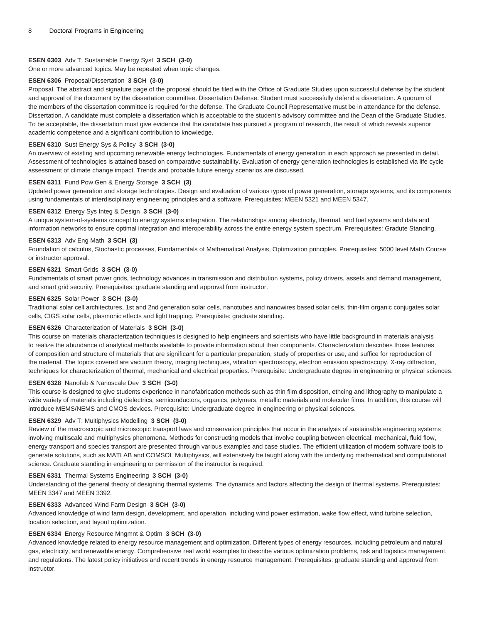#### **ESEN 6303** Adv T: Sustainable Energy Syst **3 SCH (3-0)**

One or more advanced topics. May be repeated when topic changes.

#### **ESEN 6306** Proposal/Dissertation **3 SCH (3-0)**

Proposal. The abstract and signature page of the proposal should be filed with the Office of Graduate Studies upon successful defense by the student and approval of the document by the dissertation committee. Dissertation Defense. Student must successfully defend a dissertation. A quorum of the members of the dissertation committee is required for the defense. The Graduate Council Representative must be in attendance for the defense. Dissertation. A candidate must complete a dissertation which is acceptable to the student's advisory committee and the Dean of the Graduate Studies. To be acceptable, the dissertation must give evidence that the candidate has pursued a program of research, the result of which reveals superior academic competence and a significant contribution to knowledge.

#### **ESEN 6310** Sust Energy Sys & Policy **3 SCH (3-0)**

An overview of existing and upcoming renewable energy technologies. Fundamentals of energy generation in each approach ae presented in detail. Assessment of technologies is attained based on comparative sustainability. Evaluation of energy generation technologies is established via life cycle assessment of climate change impact. Trends and probable future energy scenarios are discussed.

#### **ESEN 6311** Fund Pow Gen & Energy Storage **3 SCH (3)**

Updated power generation and storage technologies. Design and evaluation of various types of power generation, storage systems, and its components using fundamentals of interdisciplinary engineering principles and a software. Prerequisites: MEEN 5321 and MEEN 5347.

#### **ESEN 6312** Energy Sys Integ & Design **3 SCH (3-0)**

A unique system-of-systems concept to energy systems integration. The relationships among electricity, thermal, and fuel systems and data and information networks to ensure optimal integration and interoperability across the entire energy system spectrum. Prerequisites: Gradute Standing.

#### **ESEN 6313** Adv Eng Math **3 SCH (3)**

Foundation of calculus, Stochastic processes, Fundamentals of Mathematical Analysis, Optimization principles. Prerequisites: 5000 level Math Course or instructor approval.

#### **ESEN 6321** Smart Grids **3 SCH (3-0)**

Fundamentals of smart power grids, technology advances in transmission and distribution systems, policy drivers, assets and demand management, and smart grid security. Prerequisites: graduate standing and approval from instructor.

#### **ESEN 6325** Solar Power **3 SCH (3-0)**

Traditional solar cell architectures, 1st and 2nd generation solar cells, nanotubes and nanowires based solar cells, thin-film organic conjugates solar cells, CIGS solar cells, plasmonic effects and light trapping. Prerequisite: graduate standing.

#### **ESEN 6326** Characterization of Materials **3 SCH (3-0)**

This course on materials characterization techniques is designed to help engineers and scientists who have little background in materials analysis to realize the abundance of analytical methods available to provide information about their components. Characterization describes those features of composition and structure of materials that are significant for a particular preparation, study of properties or use, and suffice for reproduction of the material. The topics covered are vacuum theory, imaging techniques, vibration spectroscopy, electron emission spectroscopy, X-ray diffraction, techniques for characterization of thermal, mechanical and electrical properties. Prerequisite: Undergraduate degree in engineering or physical sciences.

#### **ESEN 6328** Nanofab & Nanoscale Dev **3 SCH (3-0)**

This course is designed to give students experience in nanofabrication methods such as thin film disposition, ethcing and lithography to manipulate a wide variety of materials including dielectrics, semiconductors, organics, polymers, metallic materials and molecular films. In addition, this course will introduce MEMS/NEMS and CMOS devices. Prerequisite: Undergraduate degree in engineering or physical sciences.

#### **ESEN 6329** Adv T: Multiphysics Modelling **3 SCH (3-0)**

Review of the macroscopic and microscopic transport laws and conservation principles that occur in the analysis of sustainable engineering systems involving multiscale and multiphysics phenomena. Methods for constructing models that involve coupling between electrical, mechanical, fluid flow, energy transport and species transport are presented through various examples and case studies. The efficient utilization of modern software tools to generate solutions, such as MATLAB and COMSOL Multiphysics, will extensively be taught along with the underlying mathematical and computational science. Graduate standing in engineering or permission of the instructor is required.

#### **ESEN 6331** Thermal Systems Engineering **3 SCH (3-0)**

Understanding of the general theory of designing thermal systems. The dynamics and factors affecting the design of thermal systems. Prerequisites: MEEN 3347 and MEEN 3392.

#### **ESEN 6333** Advanced Wind Farm Design **3 SCH (3-0)**

Advanced knowledge of wind farm design, development, and operation, including wind power estimation, wake flow effect, wind turbine selection, location selection, and layout optimization.

#### **ESEN 6334** Energy Resource Mngmnt & Optim **3 SCH (3-0)**

Advanced knowledge related to energy resource management and optimization. Different types of energy resources, including petroleum and natural gas, electricity, and renewable energy. Comprehensive real world examples to describe various optimization problems, risk and logistics management, and regulations. The latest policy initiatives and recent trends in energy resource management. Prerequisites: graduate standing and approval from **instructor.**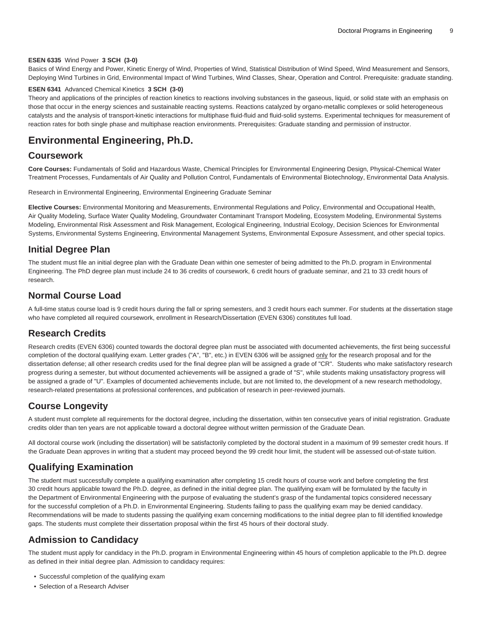#### **ESEN 6335** Wind Power **3 SCH (3-0)**

Basics of Wind Energy and Power, Kinetic Energy of Wind, Properties of Wind, Statistical Distribution of Wind Speed, Wind Measurement and Sensors, Deploying Wind Turbines in Grid, Environmental Impact of Wind Turbines, Wind Classes, Shear, Operation and Control. Prerequisite: graduate standing.

#### **ESEN 6341** Advanced Chemical Kinetics **3 SCH (3-0)**

Theory and applications of the principles of reaction kinetics to reactions involving substances in the gaseous, liquid, or solid state with an emphasis on those that occur in the energy sciences and sustainable reacting systems. Reactions catalyzed by organo-metallic complexes or solid heterogeneous catalysts and the analysis of transport-kinetic interactions for multiphase fluid-fluid and fluid-solid systems. Experimental techniques for measurement of reaction rates for both single phase and multiphase reaction environments. Prerequisites: Graduate standing and permission of instructor.

# **Environmental Engineering, Ph.D.**

### **Coursework**

**Core Courses:** Fundamentals of Solid and Hazardous Waste, Chemical Principles for Environmental Engineering Design, Physical-Chemical Water Treatment Processes, Fundamentals of Air Quality and Pollution Control, Fundamentals of Environmental Biotechnology, Environmental Data Analysis.

Research in Environmental Engineering, Environmental Engineering Graduate Seminar

**Elective Courses:** Environmental Monitoring and Measurements, Environmental Regulations and Policy, Environmental and Occupational Health, Air Quality Modeling, Surface Water Quality Modeling, Groundwater Contaminant Transport Modeling, Ecosystem Modeling, Environmental Systems Modeling, Environmental Risk Assessment and Risk Management, Ecological Engineering, Industrial Ecology, Decision Sciences for Environmental Systems, Environmental Systems Engineering, Environmental Management Systems, Environmental Exposure Assessment, and other special topics.

### **Initial Degree Plan**

The student must file an initial degree plan with the Graduate Dean within one semester of being admitted to the Ph.D. program in Environmental Engineering. The PhD degree plan must include 24 to 36 credits of coursework, 6 credit hours of graduate seminar, and 21 to 33 credit hours of research.

### **Normal Course Load**

A full-time status course load is 9 credit hours during the fall or spring semesters, and 3 credit hours each summer. For students at the dissertation stage who have completed all required coursework, enrollment in Research/Dissertation (EVEN 6306) constitutes full load.

### **Research Credits**

Research credits (EVEN 6306) counted towards the doctoral degree plan must be associated with documented achievements, the first being successful completion of the doctoral qualifying exam. Letter grades ("A", "B", etc.) in EVEN 6306 will be assigned only for the research proposal and for the dissertation defense; all other research credits used for the final degree plan will be assigned a grade of "CR". Students who make satisfactory research progress during a semester, but without documented achievements will be assigned a grade of "S", while students making unsatisfactory progress will be assigned a grade of "U". Examples of documented achievements include, but are not limited to, the development of a new research methodology, research-related presentations at professional conferences, and publication of research in peer-reviewed journals.

### **Course Longevity**

A student must complete all requirements for the doctoral degree, including the dissertation, within ten consecutive years of initial registration. Graduate credits older than ten years are not applicable toward a doctoral degree without written permission of the Graduate Dean.

All doctoral course work (including the dissertation) will be satisfactorily completed by the doctoral student in a maximum of 99 semester credit hours. If the Graduate Dean approves in writing that a student may proceed beyond the 99 credit hour limit, the student will be assessed out-of-state tuition.

### **Qualifying Examination**

The student must successfully complete a qualifying examination after completing 15 credit hours of course work and before completing the first 30 credit hours applicable toward the Ph.D. degree, as defined in the initial degree plan. The qualifying exam will be formulated by the faculty in the Department of Environmental Engineering with the purpose of evaluating the student's grasp of the fundamental topics considered necessary for the successful completion of a Ph.D. in Environmental Engineering. Students failing to pass the qualifying exam may be denied candidacy. Recommendations will be made to students passing the qualifying exam concerning modifications to the initial degree plan to fill identified knowledge gaps. The students must complete their dissertation proposal within the first 45 hours of their doctoral study.

### **Admission to Candidacy**

The student must apply for candidacy in the Ph.D. program in Environmental Engineering within 45 hours of completion applicable to the Ph.D. degree as defined in their initial degree plan. Admission to candidacy requires:

- Successful completion of the qualifying exam
- Selection of a Research Adviser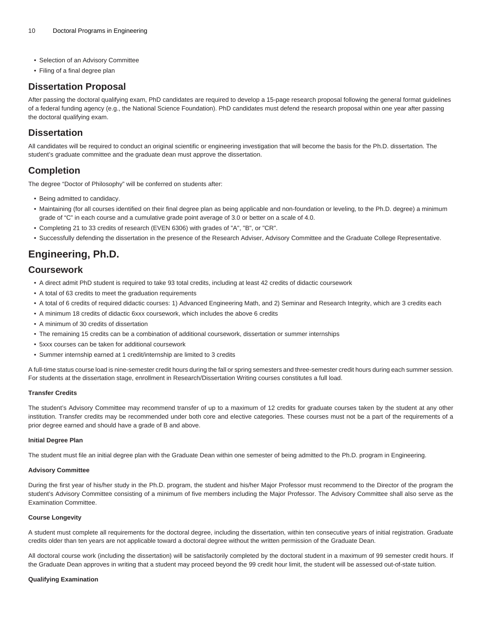- Selection of an Advisory Committee
- Filing of a final degree plan

# **Dissertation Proposal**

After passing the doctoral qualifying exam, PhD candidates are required to develop a 15-page research proposal following the general format guidelines of a federal funding agency (e.g., the National Science Foundation). PhD candidates must defend the research proposal within one year after passing the doctoral qualifying exam.

### **Dissertation**

All candidates will be required to conduct an original scientific or engineering investigation that will become the basis for the Ph.D. dissertation. The student's graduate committee and the graduate dean must approve the dissertation.

# **Completion**

The degree "Doctor of Philosophy" will be conferred on students after:

- Being admitted to candidacy.
- Maintaining (for all courses identified on their final degree plan as being applicable and non-foundation or leveling, to the Ph.D. degree) a minimum grade of "C" in each course and a cumulative grade point average of 3.0 or better on a scale of 4.0.
- Completing 21 to 33 credits of research (EVEN 6306) with grades of "A", "B", or "CR".
- Successfully defending the dissertation in the presence of the Research Adviser, Advisory Committee and the Graduate College Representative.

# **Engineering, Ph.D.**

### **Coursework**

- A direct admit PhD student is required to take 93 total credits, including at least 42 credits of didactic coursework
- A total of 63 credits to meet the graduation requirements
- A total of 6 credits of required didactic courses: 1) Advanced Engineering Math, and 2) Seminar and Research Integrity, which are 3 credits each
- A minimum 18 credits of didactic 6xxx coursework, which includes the above 6 credits
- A minimum of 30 credits of dissertation
- The remaining 15 credits can be a combination of additional coursework, dissertation or summer internships
- 5xxx courses can be taken for additional coursework
- Summer internship earned at 1 credit/internship are limited to 3 credits

A full-time status course load is nine-semester credit hours during the fall or spring semesters and three-semester credit hours during each summer session. For students at the dissertation stage, enrollment in Research/Dissertation Writing courses constitutes a full load.

#### **Transfer Credits**

The student's Advisory Committee may recommend transfer of up to a maximum of 12 credits for graduate courses taken by the student at any other institution. Transfer credits may be recommended under both core and elective categories. These courses must not be a part of the requirements of a prior degree earned and should have a grade of B and above.

#### **Initial Degree Plan**

The student must file an initial degree plan with the Graduate Dean within one semester of being admitted to the Ph.D. program in Engineering.

#### **Advisory Committee**

During the first year of his/her study in the Ph.D. program, the student and his/her Major Professor must recommend to the Director of the program the student's Advisory Committee consisting of a minimum of five members including the Major Professor. The Advisory Committee shall also serve as the Examination Committee.

#### **Course Longevity**

A student must complete all requirements for the doctoral degree, including the dissertation, within ten consecutive years of initial registration. Graduate credits older than ten years are not applicable toward a doctoral degree without the written permission of the Graduate Dean.

All doctoral course work (including the dissertation) will be satisfactorily completed by the doctoral student in a maximum of 99 semester credit hours. If the Graduate Dean approves in writing that a student may proceed beyond the 99 credit hour limit, the student will be assessed out-of-state tuition.

#### **Qualifying Examination**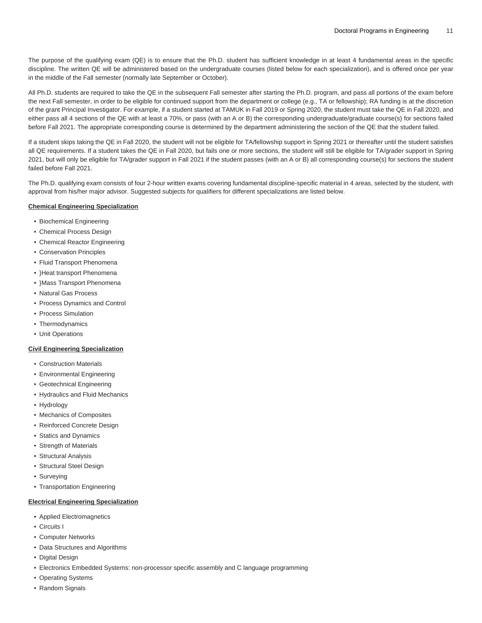The purpose of the qualifying exam (QE) is to ensure that the Ph.D. student has sufficient knowledge in at least 4 fundamental areas in the specific discipline. The written QE will be administered based on the undergraduate courses (listed below for each specialization), and is offered once per year in the middle of the Fall semester (normally late September or October).

All Ph.D. students are required to take the QE in the subsequent Fall semester after starting the Ph.D. program, and pass all portions of the exam before the next Fall semester, in order to be eligible for continued support from the department or college (e.g., TA or fellowship); RA funding is at the discretion of the grant Principal Investigator. For example, if a student started at TAMUK in Fall 2019 or Spring 2020, the student must take the QE in Fall 2020, and either pass all 4 sections of the QE with at least a 70%, or pass (with an A or B) the corresponding undergraduate/graduate course(s) for sections failed before Fall 2021. The appropriate corresponding course is determined by the department administering the section of the QE that the student failed.

If a student skips taking the QE in Fall 2020, the student will not be eligible for TA/fellowship support in Spring 2021 or thereafter until the student satisfies all QE requirements. If a student takes the QE in Fall 2020, but fails one or more sections, the student will still be eligible for TA/grader support in Spring 2021, but will only be eligible for TA/grader support in Fall 2021 if the student passes (with an A or B) all corresponding course(s) for sections the student failed before Fall 2021.

The Ph.D. qualifying exam consists of four 2-hour written exams covering fundamental discipline-specific material in 4 areas, selected by the student, with approval from his/her major advisor. Suggested subjects for qualifiers for different specializations are listed below.

#### **Chemical Engineering Specialization**

- Biochemical Engineering
- Chemical Process Design
- Chemical Reactor Engineering
- Conservation Principles
- Fluid Transport Phenomena
- }Heat transport Phenomena
- }Mass Transport Phenomena
- Natural Gas Process
- Process Dynamics and Control
- Process Simulation
- Thermodynamics
- Unit Operations

#### **Civil Engineering Specialization**

- Construction Materials
- Environmental Engineering
- Geotechnical Engineering
- Hydraulics and Fluid Mechanics
- Hydrology
- Mechanics of Composites
- Reinforced Concrete Design
- Statics and Dynamics
- Strength of Materials
- Structural Analysis
- Structural Steel Design
- Surveying
- Transportation Engineering

#### **Electrical Engineering Specialization**

- Applied Electromagnetics
- Circuits I
- Computer Networks
- Data Structures and Algorithms
- Digital Design
- Electronics Embedded Systems: non-processor specific assembly and C language programming
- Operating Systems
- Random Signals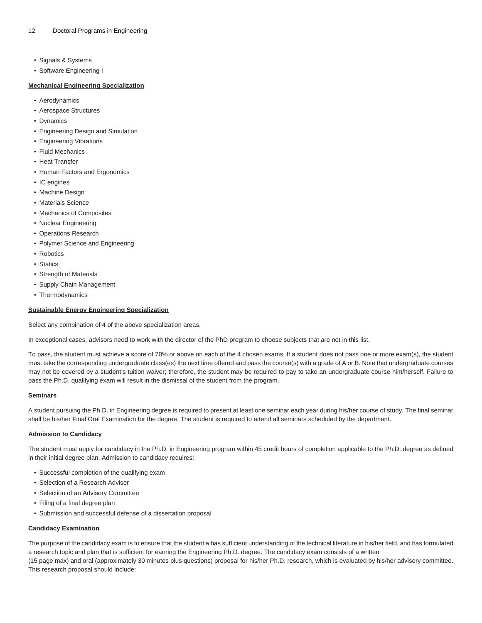- Signals & Systems
- Software Engineering I

#### **Mechanical Engineering Specialization**

- Aerodynamics
- Aerospace Structures
- Dynamics
- Engineering Design and Simulation
- Engineering Vibrations
- Fluid Mechanics
- Heat Transfer
- Human Factors and Ergonomics
- IC engines
- Machine Design
- Materials Science
- Mechanics of Composites
- Nuclear Engineering
- Operations Research
- Polymer Science and Engineering
- Robotics
- Statics
- Strength of Materials
- Supply Chain Management
- Thermodynamics

#### **Sustainable Energy Engineering Specialization**

Select any combination of 4 of the above specialization areas.

In exceptional cases, advisors need to work with the director of the PhD program to choose subjects that are not in this list.

To pass, the student must achieve a score of 70% or above on each of the 4 chosen exams. If a student does not pass one or more exam(s), the student must take the corresponding undergraduate class(es) the next time offered and pass the course(s) with a grade of A or B. Note that undergraduate courses may not be covered by a student's tuition waiver; therefore, the student may be required to pay to take an undergraduate course him/herself. Failure to pass the Ph.D. qualifying exam will result in the dismissal of the student from the program.

#### **Seminars**

A student pursuing the Ph.D. in Engineering degree is required to present at least one seminar each year during his/her course of study. The final seminar shall be his/her Final Oral Examination for the degree. The student is required to attend all seminars scheduled by the department.

#### **Admission to Candidacy**

The student must apply for candidacy in the Ph.D. in Engineering program within 45 credit hours of completion applicable to the Ph.D. degree as defined in their initial degree plan. Admission to candidacy requires:

- Successful completion of the qualifying exam
- Selection of a Research Adviser
- Selection of an Advisory Committee
- Filing of a final degree plan
- Submission and successful defense of a dissertation proposal

#### **Candidacy Examination**

The purpose of the candidacy exam is to ensure that the student a has sufficient understanding of the technical literature in his/her field, and has formulated a research topic and plan that is sufficient for earning the Engineering Ph.D. degree. The candidacy exam consists of a written

(15 page max) and oral (approximately 30 minutes plus questions) proposal for his/her Ph.D. research, which is evaluated by his/her advisory committee. This research proposal should include: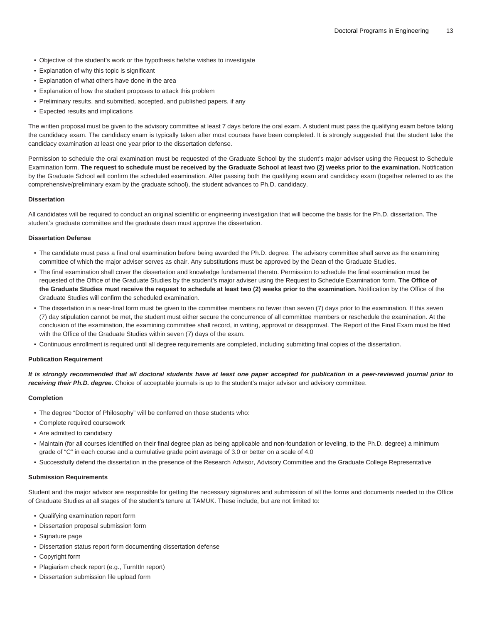- Objective of the student's work or the hypothesis he/she wishes to investigate
- Explanation of why this topic is significant
- Explanation of what others have done in the area
- Explanation of how the student proposes to attack this problem
- Preliminary results, and submitted, accepted, and published papers, if any
- Expected results and implications

The written proposal must be given to the advisory committee at least 7 days before the oral exam. A student must pass the qualifying exam before taking the candidacy exam. The candidacy exam is typically taken after most courses have been completed. It is strongly suggested that the student take the candidacy examination at least one year prior to the dissertation defense.

Permission to schedule the oral examination must be requested of the Graduate School by the student's major adviser using the Request to Schedule Examination form. **The request to schedule must be received by the Graduate School at least two (2) weeks prior to the examination.** Notification by the Graduate School will confirm the scheduled examination. After passing both the qualifying exam and candidacy exam (together referred to as the comprehensive/preliminary exam by the graduate school), the student advances to Ph.D. candidacy.

#### **Dissertation**

All candidates will be required to conduct an original scientific or engineering investigation that will become the basis for the Ph.D. dissertation. The student's graduate committee and the graduate dean must approve the dissertation.

#### **Dissertation Defense**

- The candidate must pass a final oral examination before being awarded the Ph.D. degree. The advisory committee shall serve as the examining committee of which the major adviser serves as chair. Any substitutions must be approved by the Dean of the Graduate Studies.
- The final examination shall cover the dissertation and knowledge fundamental thereto. Permission to schedule the final examination must be requested of the Office of the Graduate Studies by the student's major adviser using the Request to Schedule Examination form. **The Office of the Graduate Studies must receive the request to schedule at least two (2) weeks prior to the examination.** Notification by the Office of the Graduate Studies will confirm the scheduled examination.
- The dissertation in a near-final form must be given to the committee members no fewer than seven (7) days prior to the examination. If this seven (7) day stipulation cannot be met, the student must either secure the concurrence of all committee members or reschedule the examination. At the conclusion of the examination, the examining committee shall record, in writing, approval or disapproval. The Report of the Final Exam must be filed with the Office of the Graduate Studies within seven (7) days of the exam.
- Continuous enrollment is required until all degree requirements are completed, including submitting final copies of the dissertation.

#### **Publication Requirement**

**It is strongly recommended that all doctoral students have at least one paper accepted for publication in a peer-reviewed journal prior to receiving their Ph.D. degree.** Choice of acceptable journals is up to the student's major advisor and advisory committee.

#### **Completion**

- The degree "Doctor of Philosophy" will be conferred on those students who:
- Complete required coursework
- Are admitted to candidacy
- Maintain (for all courses identified on their final degree plan as being applicable and non-foundation or leveling, to the Ph.D. degree) a minimum grade of "C" in each course and a cumulative grade point average of 3.0 or better on a scale of 4.0
- Successfully defend the dissertation in the presence of the Research Advisor, Advisory Committee and the Graduate College Representative

#### **Submission Requirements**

Student and the major advisor are responsible for getting the necessary signatures and submission of all the forms and documents needed to the Office of Graduate Studies at all stages of the student's tenure at TAMUK. These include, but are not limited to:

- Qualifying examination report form
- Dissertation proposal submission form
- Signature page
- Dissertation status report form documenting dissertation defense
- Copyright form
- Plagiarism check report (e.g., TurnItIn report)
- Dissertation submission file upload form